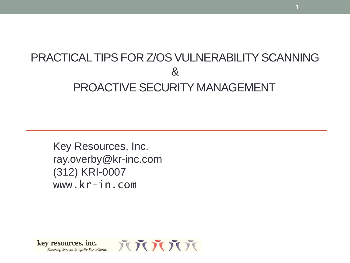### PRACTICAL TIPS FOR Z/OS VULNERABILITY SCANNING & PROACTIVE SECURITY MANAGEMENT

**1**

Key Resources, Inc. ray.overby@kr-inc.com (312) KRI-0007 www.kr-in.com

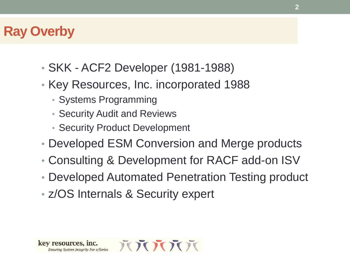### **Ray Overby**

- SKK ACF2 Developer (1981-1988)
- Key Resources, Inc. incorporated 1988
	- Systems Programming
	- Security Audit and Reviews
	- Security Product Development
- Developed ESM Conversion and Merge products
- Consulting & Development for RACF add-on ISV
- Developed Automated Penetration Testing product
- z/OS Internals & Security expert

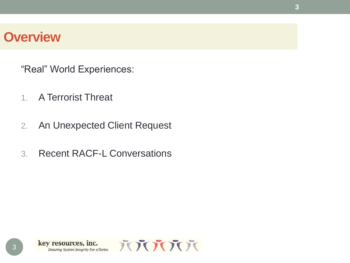### **Overview**

"Real" World Experiences:

- 1. A Terrorist Threat
- 2. An Unexpected Client Request
- 3. Recent RACF-L Conversations

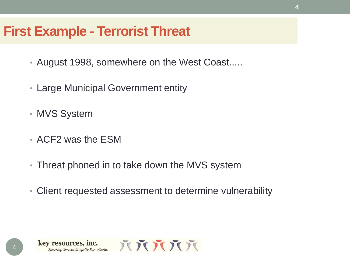### **First Example - Terrorist Threat**

- August 1998, somewhere on the West Coast.....
- Large Municipal Government entity
- MVS System
- ACF2 was the ESM
- Threat phoned in to take down the MVS system
- Client requested assessment to determine vulnerability

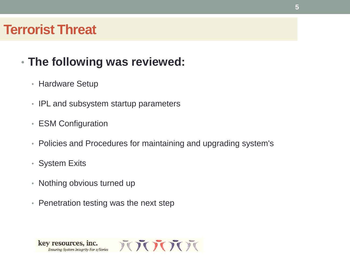### • **The following was reviewed:**

- Hardware Setup
- IPL and subsystem startup parameters
- ESM Configuration
- Policies and Procedures for maintaining and upgrading system's
- System Exits
- Nothing obvious turned up
- Penetration testing was the next step

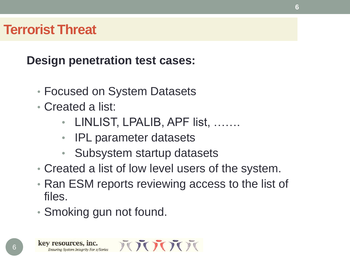**Design penetration test cases:**

- Focused on System Datasets
- Created a list:
	- LINLIST, LPALIB, APF list, …….
	- IPL parameter datasets
	- Subsystem startup datasets
- Created a list of low level users of the system.
- Ran ESM reports reviewing access to the list of files.

**6**

• Smoking gun not found.

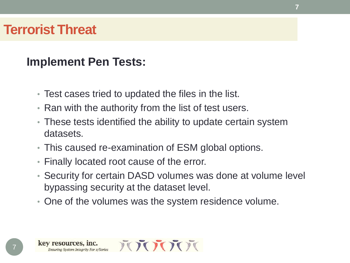### **Implement Pen Tests:**

- Test cases tried to updated the files in the list.
- Ran with the authority from the list of test users.
- These tests identified the ability to update certain system datasets.
- This caused re-examination of ESM global options.
- Finally located root cause of the error.
- Security for certain DASD volumes was done at volume level bypassing security at the dataset level.
- One of the volumes was the system residence volume.

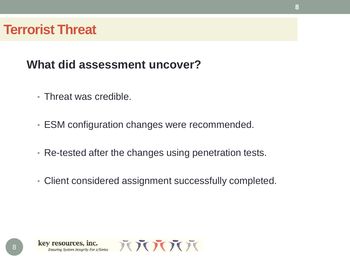### **What did assessment uncover?**

- Threat was credible.
- ESM configuration changes were recommended.
- Re-tested after the changes using penetration tests.
- Client considered assignment successfully completed.

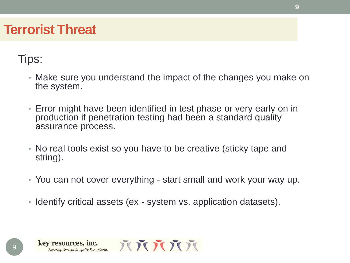### Tips:

- Make sure you understand the impact of the changes you make on the system.
- Error might have been identified in test phase or very early on in production if penetration testing had been a standard quality assurance process.
- No real tools exist so you have to be creative (sticky tape and string).
- You can not cover everything start small and work your way up.
- Identify critical assets (ex system vs. application datasets).

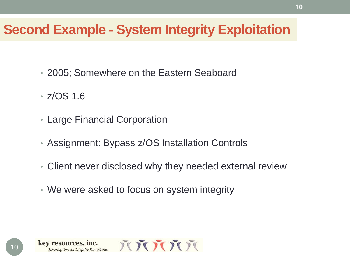### **Second Example - System Integrity Exploitation**

- 2005; Somewhere on the Eastern Seaboard
- z/OS 1.6
- Large Financial Corporation
- Assignment: Bypass z/OS Installation Controls
- Client never disclosed why they needed external review
- We were asked to focus on system integrity

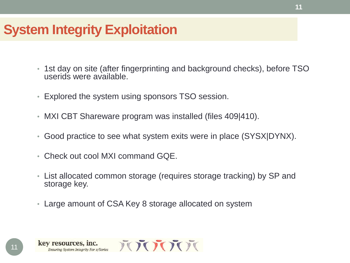- 1st day on site (after fingerprinting and background checks), before TSO userids were available.
- Explored the system using sponsors TSO session.
- MXI CBT Shareware program was installed (files 409|410).
- Good practice to see what system exits were in place (SYSX|DYNX).
- Check out cool MXI command GQE.
- List allocated common storage (requires storage tracking) by SP and storage key.
- Large amount of CSA Key 8 storage allocated on system

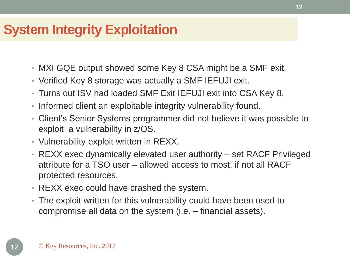- MXI GQE output showed some Key 8 CSA might be a SMF exit.
- Verified Key 8 storage was actually a SMF IEFUJI exit.
- Turns out ISV had loaded SMF Exit IEFUJI exit into CSA Key 8.
- Informed client an exploitable integrity vulnerability found.
- Client's Senior Systems programmer did not believe it was possible to exploit a vulnerability in z/OS.
- Vulnerability exploit written in REXX.
- REXX exec dynamically elevated user authority set RACF Privileged attribute for a TSO user – allowed access to most, if not all RACF protected resources.
- REXX exec could have crashed the system.
- The exploit written for this vulnerability could have been used to compromise all data on the system (i.e. – financial assets).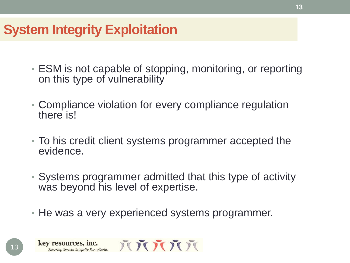- ESM is not capable of stopping, monitoring, or reporting on this type of vulnerability
- Compliance violation for every compliance regulation there is!
- To his credit client systems programmer accepted the evidence.
- Systems programmer admitted that this type of activity was beyond his level of expertise.
- He was a very experienced systems programmer.

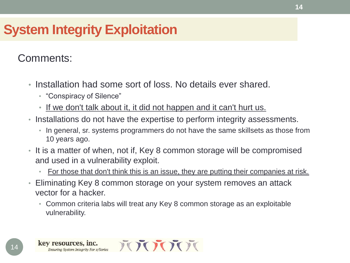#### Comments:

- Installation had some sort of loss. No details ever shared.
	- "Conspiracy of Silence"
	- If we don't talk about it, it did not happen and it can't hurt us.
- Installations do not have the expertise to perform integrity assessments.
	- In general, sr. systems programmers do not have the same skillsets as those from 10 years ago.
- It is a matter of when, not if, Key 8 common storage will be compromised and used in a vulnerability exploit.
	- For those that don't think this is an issue, they are putting their companies at risk.
- Eliminating Key 8 common storage on your system removes an attack vector for a hacker.
	- Common criteria labs will treat any Key 8 common storage as an exploitable vulnerability.

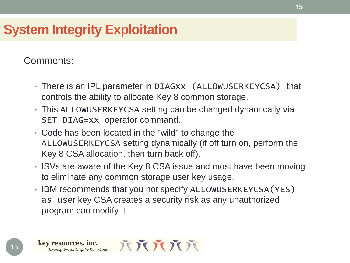Comments:

- There is an IPL parameter in DIAGxx (ALLOWUSERKEYCSA) that controls the ability to allocate Key 8 common storage.
- This ALLOWUSERKEYCSA setting can be changed dynamically via SET DIAG=xx operator command.
- Code has been located in the "wild" to change the ALLOWUSERKEYCSA setting dynamically (if off turn on, perform the Key 8 CSA allocation, then turn back off).
- ISVs are aware of the Key 8 CSA issue and most have been moving to eliminate any common storage user key usage.
- IBM recommends that you not specify ALLOWUSERKEYCSA(YES) as user key CSA creates a security risk as any unauthorized program can modify it.

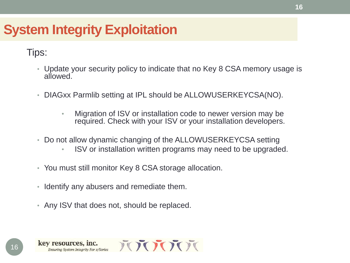#### Tips:

- Update your security policy to indicate that no Key 8 CSA memory usage is allowed.
- DIAGxx Parmlib setting at IPL should be ALLOWUSERKEYCSA(NO).
	- Migration of ISV or installation code to newer version may be required. Check with your ISV or your installation developers.
- Do not allow dynamic changing of the ALLOWUSERKEYCSA setting
	- ISV or installation written programs may need to be upgraded.
- You must still monitor Key 8 CSA storage allocation.
- Identify any abusers and remediate them.
- Any ISV that does not, should be replaced.

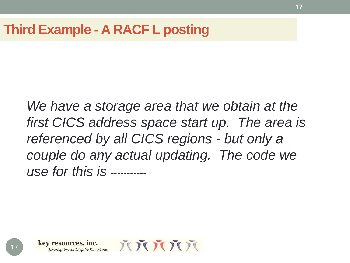### **Third Example - A RACF L posting**

*We have a storage area that we obtain at the first CICS address space start up. The area is referenced by all CICS regions - but only a couple do any actual updating. The code we use for this is -----------*

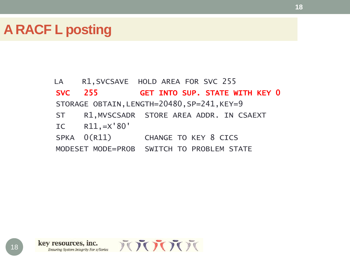### **A RACF L posting**

LA R1, SVCSAVE HOLD AREA FOR SVC 255 SVC 255 GET INTO SUP. STATE WITH KEY 0 STORAGE OBTAIN, LENGTH=20480, SP=241, KEY=9 ST R1,MVSCSADR STORE AREA ADDR. IN CSAEXT IC R11,=X'80' SPKA  $0(R11)$  CHANGE TO KEY 8 CICS MODESET MODE=PROB SWITCH TO PROBLEM STATE

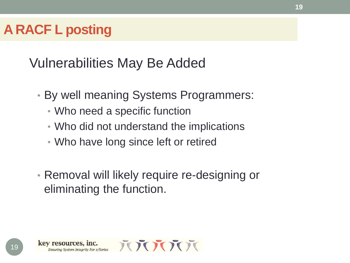### **A RACF L posting**

Vulnerabilities May Be Added

- By well meaning Systems Programmers:
	- Who need a specific function
	- Who did not understand the implications
	- Who have long since left or retired
- Removal will likely require re-designing or eliminating the function.

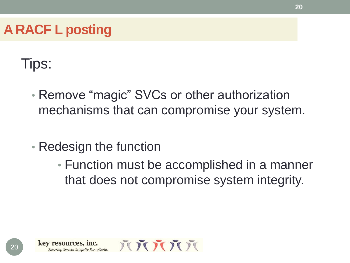## **A RACF L posting**

# Tips:

- Remove "magic" SVCs or other authorization mechanisms that can compromise your system.
- Redesign the function
	- Function must be accomplished in a manner that does not compromise system integrity.

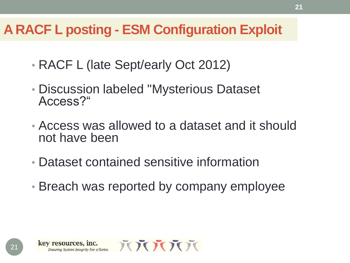- RACF L (late Sept/early Oct 2012)
- Discussion labeled "Mysterious Dataset Access?"
- Access was allowed to a dataset and it should not have been
- Dataset contained sensitive information
- Breach was reported by company employee

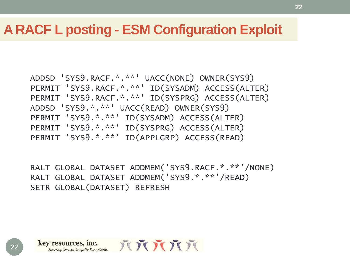```
ADDSD 'SYS9.RACF.*.**' UACC(NONE) OWNER(SYS9) 
PERMIT 'SYS9.RACF.*.**' ID(SYSADM) ACCESS(ALTER) 
PERMIT 'SYS9.RACF.*.**' ID(SYSPRG) ACCESS(ALTER)
ADDSD 'SYS9.*.**' UACC(READ) OWNER(SYS9)
PERMIT 'SYS9.*.**' ID(SYSADM) ACCESS(ALTER) 
PERMIT 'SYS9.*.**' ID(SYSPRG) ACCESS(ALTER)
PERMIT 'SYS9.*.**' ID(APPLGRP) ACCESS(READ)
```
RALT GLOBAL DATASET ADDMEM('SYS9.RACF.\*.\*\*'/NONE) RALT GLOBAL DATASET ADDMEM('SYS9.\*.\*\*'/READ) SETR GLOBAL(DATASET) REFRESH

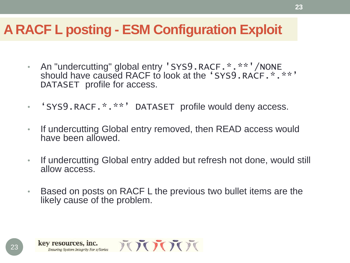- An "undercutting" global entry 'SYS9.RACF.\*.\*\*\*'/NONE should have caused RACF to look at the 'SYS9.RACF. \*. \*\*' DATASET profile for access.
- 'SYS9.RACF.\*.\*\*' DATASET profile would deny access.
- If undercutting Global entry removed, then READ access would have been allowed.
- If undercutting Global entry added but refresh not done, would still allow access.
- Based on posts on RACF L the previous two bullet items are the likely cause of the problem.

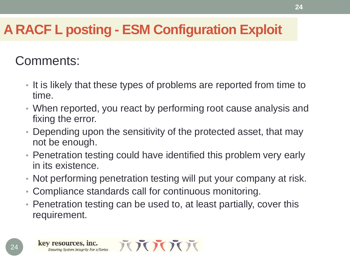### Comments:

- It is likely that these types of problems are reported from time to time.
- When reported, you react by performing root cause analysis and fixing the error.
- Depending upon the sensitivity of the protected asset, that may not be enough.
- Penetration testing could have identified this problem very early in its existence.
- Not performing penetration testing will put your company at risk.
- Compliance standards call for continuous monitoring.
- Penetration testing can be used to, at least partially, cover this requirement.

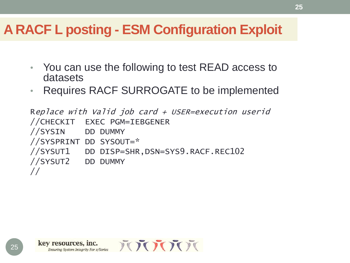- You can use the following to test READ access to datasets
- Requires RACF SURROGATE to be implemented

Replace with Valid job card + USER=execution userid //CHECKIT EXEC PGM=IEBGENER //SYSIN DD DUMMY //SYSPRINT DD SYSOUT=\* //SYSUT1 DD DISP=SHR,DSN=SYS9.RACF.REC102 //SYSUT2 DD DUMMY //

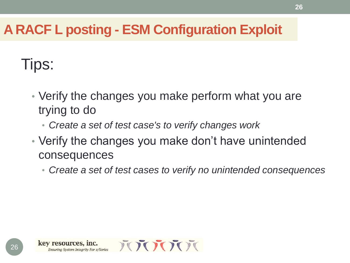# Tips:

- Verify the changes you make perform what you are trying to do
	- *Create a set of test case's to verify changes work*
- Verify the changes you make don't have unintended consequences
	- *Create a set of test cases to verify no unintended consequences*

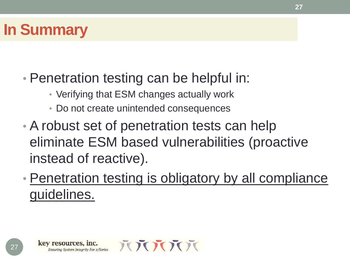# **In Summary**

## • Penetration testing can be helpful in:

- Verifying that ESM changes actually work
- Do not create unintended consequences
- A robust set of penetration tests can help eliminate ESM based vulnerabilities (proactive instead of reactive).
- Penetration testing is obligatory by all compliance guidelines.